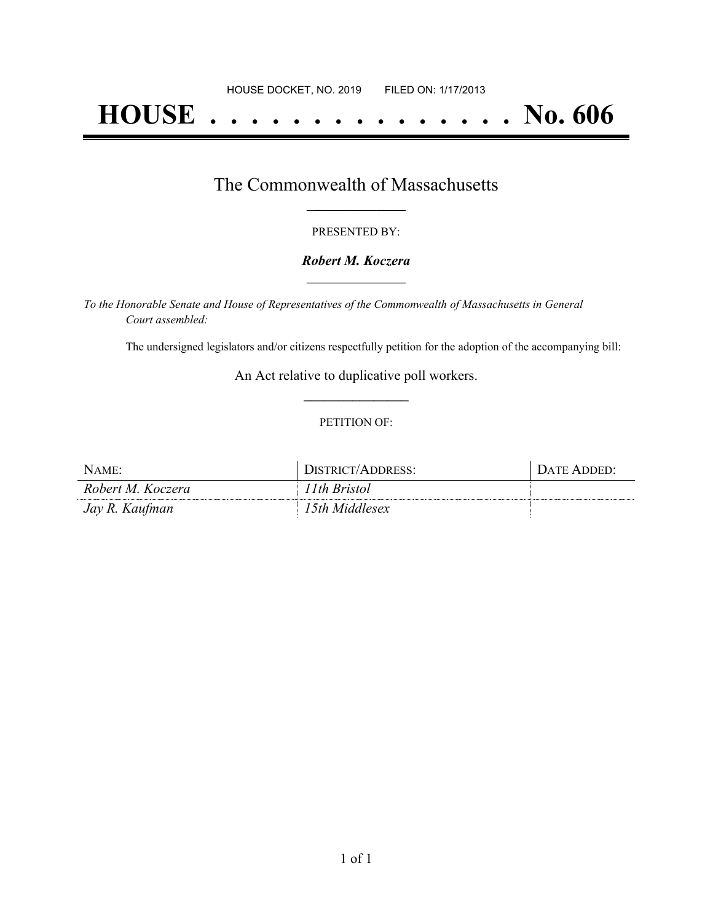# **HOUSE . . . . . . . . . . . . . . . No. 606**

### The Commonwealth of Massachusetts **\_\_\_\_\_\_\_\_\_\_\_\_\_\_\_\_\_**

#### PRESENTED BY:

#### *Robert M. Koczera* **\_\_\_\_\_\_\_\_\_\_\_\_\_\_\_\_\_**

*To the Honorable Senate and House of Representatives of the Commonwealth of Massachusetts in General Court assembled:*

The undersigned legislators and/or citizens respectfully petition for the adoption of the accompanying bill:

An Act relative to duplicative poll workers. **\_\_\_\_\_\_\_\_\_\_\_\_\_\_\_**

#### PETITION OF:

| NAME:             | DISTRICT/ADDRESS: | DATE ADDED: |
|-------------------|-------------------|-------------|
| Robert M. Koczera | l 1th Bristol     |             |
| Jay R. Kaufman    | 15th Middlesex    |             |